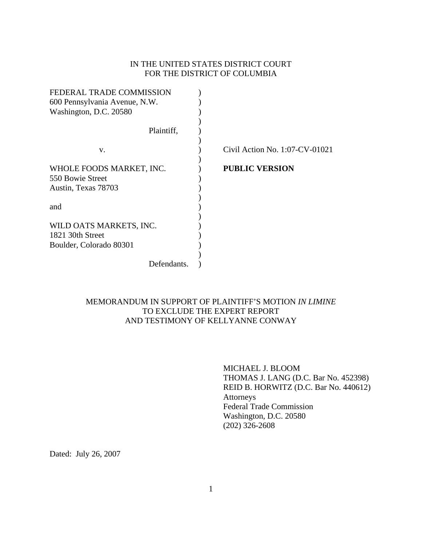# IN THE UNITED STATES DISTRICT COURT FOR THE DISTRICT OF COLUMBIA

| FEDERAL TRADE COMMISSION      |                                   |
|-------------------------------|-----------------------------------|
| 600 Pennsylvania Avenue, N.W. |                                   |
| Washington, D.C. 20580        |                                   |
|                               |                                   |
| Plaintiff,                    |                                   |
|                               |                                   |
| V.                            | Civil Action No. $1:07$ -CV-01021 |
| WHOLE FOODS MARKET, INC.      | <b>PUBLIC VERSION</b>             |
| 550 Bowie Street              |                                   |
| Austin, Texas 78703           |                                   |
|                               |                                   |
| and                           |                                   |
|                               |                                   |
| WILD OATS MARKETS, INC.       |                                   |
| 1821 30th Street              |                                   |
| Boulder, Colorado 80301       |                                   |
|                               |                                   |
| Defendants.                   |                                   |

# MEMORANDUM IN SUPPORT OF PLAINTIFF'S MOTION *IN LIMINE*  TO EXCLUDE THE EXPERT REPORT AND TESTIMONY OF KELLYANNE CONWAY

 MICHAEL J. BLOOM THOMAS J. LANG (D.C. Bar No. 452398) REID B. HORWITZ (D.C. Bar No. 440612) Attorneys Federal Trade Commission Washington, D.C. 20580 (202) 326-2608

Dated: July 26, 2007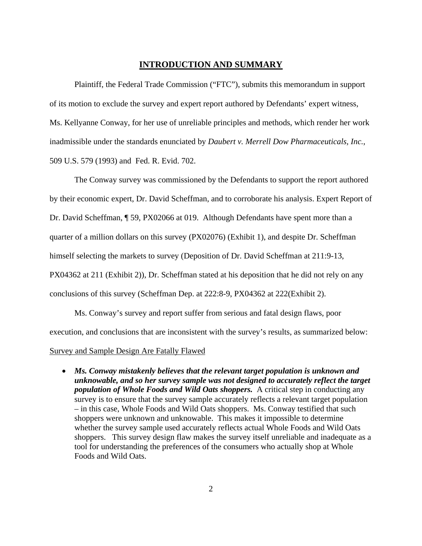### **INTRODUCTION AND SUMMARY**

 Plaintiff, the Federal Trade Commission ("FTC"), submits this memorandum in support of its motion to exclude the survey and expert report authored by Defendants' expert witness, Ms. Kellyanne Conway, for her use of unreliable principles and methods, which render her work inadmissible under the standards enunciated by *Daubert v. Merrell Dow Pharmaceuticals, Inc.*, 509 U.S. 579 (1993) and Fed. R. Evid. 702.

 The Conway survey was commissioned by the Defendants to support the report authored by their economic expert, Dr. David Scheffman, and to corroborate his analysis. Expert Report of Dr. David Scheffman, ¶ 59, PX02066 at 019. Although Defendants have spent more than a quarter of a million dollars on this survey (PX02076) (Exhibit 1), and despite Dr. Scheffman himself selecting the markets to survey (Deposition of Dr. David Scheffman at 211:9-13, PX04362 at 211 (Exhibit 2)), Dr. Scheffman stated at his deposition that he did not rely on any conclusions of this survey (Scheffman Dep. at 222:8-9, PX04362 at 222(Exhibit 2).

 Ms. Conway's survey and report suffer from serious and fatal design flaws, poor execution, and conclusions that are inconsistent with the survey's results, as summarized below:

#### Survey and Sample Design Are Fatally Flawed

• *Ms. Conway mistakenly believes that the relevant target population is unknown and unknowable, and so her survey sample was not designed to accurately reflect the target population of Whole Foods and Wild Oats shoppers.* A critical step in conducting any survey is to ensure that the survey sample accurately reflects a relevant target population – in this case, Whole Foods and Wild Oats shoppers. Ms. Conway testified that such shoppers were unknown and unknowable. This makes it impossible to determine whether the survey sample used accurately reflects actual Whole Foods and Wild Oats shoppers. This survey design flaw makes the survey itself unreliable and inadequate as a tool for understanding the preferences of the consumers who actually shop at Whole Foods and Wild Oats.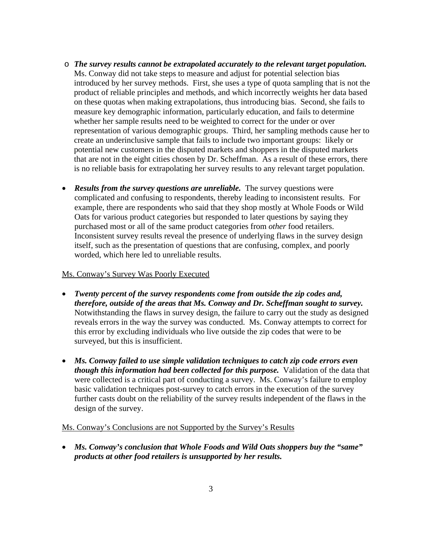- o *The survey results cannot be extrapolated accurately to the relevant target population.*  Ms. Conway did not take steps to measure and adjust for potential selection bias introduced by her survey methods. First, she uses a type of quota sampling that is not the product of reliable principles and methods, and which incorrectly weights her data based on these quotas when making extrapolations, thus introducing bias. Second, she fails to measure key demographic information, particularly education, and fails to determine whether her sample results need to be weighted to correct for the under or over representation of various demographic groups. Third, her sampling methods cause her to create an underinclusive sample that fails to include two important groups: likely or potential new customers in the disputed markets and shoppers in the disputed markets that are not in the eight cities chosen by Dr. Scheffman. As a result of these errors, there is no reliable basis for extrapolating her survey results to any relevant target population.
- *Results from the survey questions are unreliable.* The survey questions were complicated and confusing to respondents, thereby leading to inconsistent results. For example, there are respondents who said that they shop mostly at Whole Foods or Wild Oats for various product categories but responded to later questions by saying they purchased most or all of the same product categories from *other* food retailers. Inconsistent survey results reveal the presence of underlying flaws in the survey design itself, such as the presentation of questions that are confusing, complex, and poorly worded, which here led to unreliable results.

## Ms. Conway's Survey Was Poorly Executed

- *Twenty percent of the survey respondents come from outside the zip codes and, therefore, outside of the areas that Ms. Conway and Dr. Scheffman sought to survey.* Notwithstanding the flaws in survey design, the failure to carry out the study as designed reveals errors in the way the survey was conducted. Ms. Conway attempts to correct for this error by excluding individuals who live outside the zip codes that were to be surveyed, but this is insufficient.
- *Ms. Conway failed to use simple validation techniques to catch zip code errors even though this information had been collected for this purpose.* Validation of the data that were collected is a critical part of conducting a survey. Ms. Conway's failure to employ basic validation techniques post-survey to catch errors in the execution of the survey further casts doubt on the reliability of the survey results independent of the flaws in the design of the survey.

### Ms. Conway's Conclusions are not Supported by the Survey's Results

• *Ms. Conway's conclusion that Whole Foods and Wild Oats shoppers buy the "same" products at other food retailers is unsupported by her results.*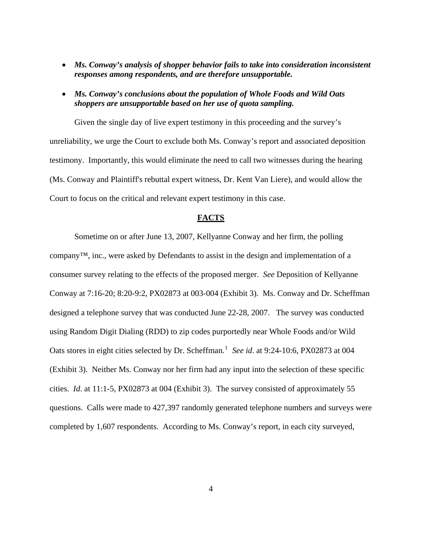- *Ms. Conway's analysis of shopper behavior fails to take into consideration inconsistent responses among respondents, and are therefore unsupportable.*
- *Ms. Conway's conclusions about the population of Whole Foods and Wild Oats shoppers are unsupportable based on her use of quota sampling.*

 Given the single day of live expert testimony in this proceeding and the survey's unreliability, we urge the Court to exclude both Ms. Conway's report and associated deposition testimony. Importantly, this would eliminate the need to call two witnesses during the hearing (Ms. Conway and Plaintiff's rebuttal expert witness, Dr. Kent Van Liere), and would allow the Court to focus on the critical and relevant expert testimony in this case.

### **FACTS**

<span id="page-3-0"></span> Sometime on or after June 13, 2007, Kellyanne Conway and her firm, the polling company™, inc., were asked by Defendants to assist in the design and implementation of a consumer survey relating to the effects of the proposed merger. *See* Deposition of Kellyanne Conway at 7:16-20; 8:20-9:2, PX02873 at 003-004 (Exhibit 3). Ms. Conway and Dr. Scheffman designed a telephone survey that was conducted June 22-28, 2007. The survey was conducted using Random Digit Dialing (RDD) to zip codes purportedly near Whole Foods and/or Wild Oats stores in eight cities selected by Dr. Scheffman.<sup>[1](#page-3-0)</sup> See id. at 9:24-10:6, PX02873 at 004 (Exhibit 3). Neither Ms. Conway nor her firm had any input into the selection of these specific cities. *Id*. at 11:1-5, PX02873 at 004 (Exhibit 3). The survey consisted of approximately 55 questions. Calls were made to 427,397 randomly generated telephone numbers and surveys were completed by 1,607 respondents. According to Ms. Conway's report, in each city surveyed,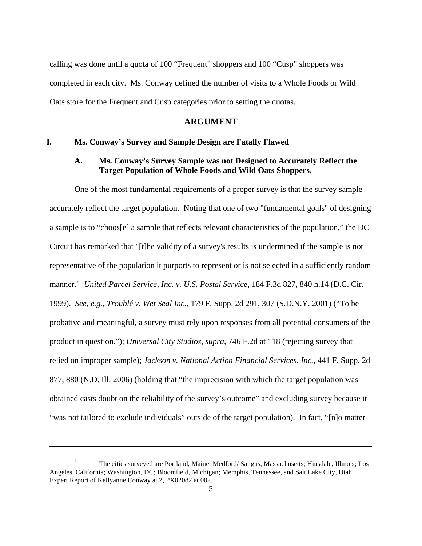calling was done until a quota of 100 "Frequent" shoppers and 100 "Cusp" shoppers was completed in each city. Ms. Conway defined the number of visits to a Whole Foods or Wild Oats store for the Frequent and Cusp categories prior to setting the quotas.

### **ARGUMENT**

#### **I. Ms. Conway's Survey and Sample Design are Fatally Flawed**

# **A. Ms. Conway's Survey Sample was not Designed to Accurately Reflect the Target Population of Whole Foods and Wild Oats Shoppers.**

One of the most fundamental requirements of a proper survey is that the survey sample accurately reflect the target population. Noting that one of two "fundamental goals" of designing a sample is to "choos[e] a sample that reflects relevant characteristics of the population," the DC Circuit has remarked that "[t]he validity of a survey's results is undermined if the sample is not representative of the population it purports to represent or is not selected in a sufficiently random manner." *United Parcel Service, Inc. v. U.S. Postal Service*, 184 F.3d 827, 840 n.14 (D.C. Cir. 1999). *See, e.g., Troublé v. Wet Seal Inc.*, 179 F. Supp. 2d 291, 307 (S.D.N.Y. 2001) ("To be probative and meaningful, a survey must rely upon responses from all potential consumers of the product in question."); *Universal City Studios*, *supra*, 746 F.2d at 118 (rejecting survey that relied on improper sample); *Jackson v. National Action Financial Services, Inc.*, 441 F. Supp. 2d 877, 880 (N.D. Ill. 2006) (holding that "the imprecision with which the target population was obtained casts doubt on the reliability of the survey's outcome" and excluding survey because it "was not tailored to exclude individuals" outside of the target population). In fact, "[n]o matter

 $\overline{a}$ 

<sup>&</sup>lt;sup>1</sup> The cities surveyed are Portland, Maine; Medford/ Saugus, Massachusetts; Hinsdale, Illinois; Los Angeles, California; Washington, DC; Bloomfield, Michigan; Memphis, Tennessee, and Salt Lake City, Utah. Expert Report of Kellyanne Conway at 2, PX02082 at 002.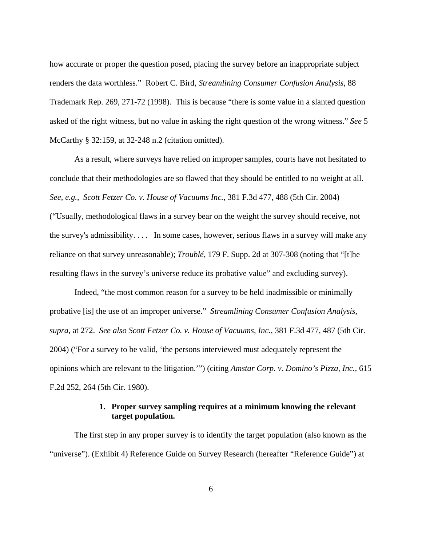how accurate or proper the question posed, placing the survey before an inappropriate subject renders the data worthless." Robert C. Bird, *Streamlining Consumer Confusion Analysis*, 88 Trademark Rep. 269, 271-72 (1998). This is because "there is some value in a slanted question asked of the right witness, but no value in asking the right question of the wrong witness." *See* 5 McCarthy § 32:159, at 32-248 n.2 (citation omitted).

As a result, where surveys have relied on improper samples, courts have not hesitated to conclude that their methodologies are so flawed that they should be entitled to no weight at all. *See, e.g.*, *Scott Fetzer Co. v. House of Vacuums Inc.*, 381 F.3d 477, 488 (5th Cir. 2004) ("Usually, methodological flaws in a survey bear on the weight the survey should receive, not the survey's admissibility. . . . In some cases, however, serious flaws in a survey will make any reliance on that survey unreasonable); *Troublé*, 179 F. Supp. 2d at 307-308 (noting that "[t]he resulting flaws in the survey's universe reduce its probative value" and excluding survey).

Indeed, "the most common reason for a survey to be held inadmissible or minimally probative [is] the use of an improper universe." *Streamlining Consumer Confusion Analysis*, *supra*, at 272. *See also Scott Fetzer Co. v. House of Vacuums, Inc.*, 381 F.3d 477, 487 (5th Cir. 2004) ("For a survey to be valid, 'the persons interviewed must adequately represent the opinions which are relevant to the litigation.'") (citing *Amstar Corp. v. Domino's Pizza, Inc.*, 615 F.2d 252, 264 (5th Cir. 1980).

### **1. Proper survey sampling requires at a minimum knowing the relevant target population.**

 The first step in any proper survey is to identify the target population (also known as the "universe"). (Exhibit 4) Reference Guide on Survey Research (hereafter "Reference Guide") at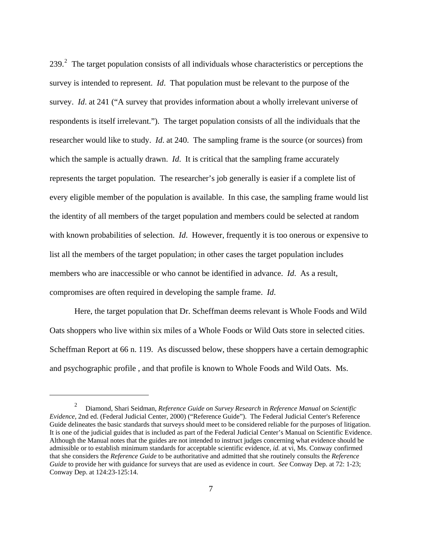[2](#page-6-0)39. $^2$  The target population consists of all individuals whose characteristics or perceptions the survey is intended to represent. *Id*. That population must be relevant to the purpose of the survey. *Id*. at 241 ("A survey that provides information about a wholly irrelevant universe of respondents is itself irrelevant."). The target population consists of all the individuals that the researcher would like to study. *Id*. at 240. The sampling frame is the source (or sources) from which the sample is actually drawn. *Id*. It is critical that the sampling frame accurately represents the target population. The researcher's job generally is easier if a complete list of every eligible member of the population is available. In this case, the sampling frame would list the identity of all members of the target population and members could be selected at random with known probabilities of selection. *Id*. However, frequently it is too onerous or expensive to list all the members of the target population; in other cases the target population includes members who are inaccessible or who cannot be identified in advance. *Id*. As a result, compromises are often required in developing the sample frame. *Id*.

 Here, the target population that Dr. Scheffman deems relevant is Whole Foods and Wild Oats shoppers who live within six miles of a Whole Foods or Wild Oats store in selected cities. Scheffman Report at 66 n. 119. As discussed below, these shoppers have a certain demographic and psychographic profile , and that profile is known to Whole Foods and Wild Oats. Ms.

 $\overline{a}$ 

<span id="page-6-0"></span><sup>2</sup> Diamond, Shari Seidman, *Reference Guide on Survey Research* in *Reference Manual on Scientific Evidence*, 2nd ed. (Federal Judicial Center, 2000) ("Reference Guide"). The Federal Judicial Center's Reference Guide delineates the basic standards that surveys should meet to be considered reliable for the purposes of litigation. It is one of the judicial guides that is included as part of the Federal Judicial Center's Manual on Scientific Evidence. Although the Manual notes that the guides are not intended to instruct judges concerning what evidence should be admissible or to establish minimum standards for acceptable scientific evidence, *id.* at vi, Ms. Conway confirmed that she considers the *Reference Guide* to be authoritative and admitted that she routinely consults the *Reference Guide* to provide her with guidance for surveys that are used as evidence in court. *See* Conway Dep. at 72: 1-23; Conway Dep. at 124:23-125:14.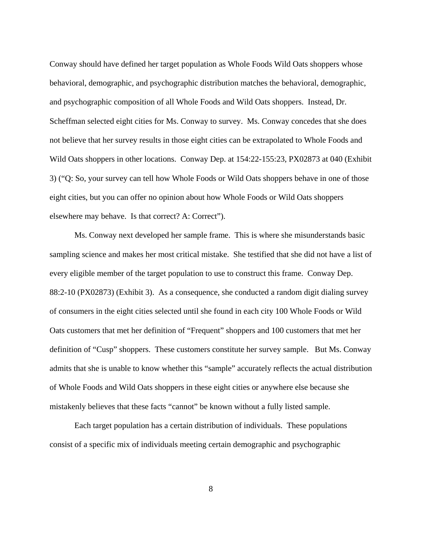Conway should have defined her target population as Whole Foods Wild Oats shoppers whose behavioral, demographic, and psychographic distribution matches the behavioral, demographic, and psychographic composition of all Whole Foods and Wild Oats shoppers. Instead, Dr. Scheffman selected eight cities for Ms. Conway to survey. Ms. Conway concedes that she does not believe that her survey results in those eight cities can be extrapolated to Whole Foods and Wild Oats shoppers in other locations. Conway Dep. at 154:22-155:23, PX02873 at 040 (Exhibit 3) ("Q: So, your survey can tell how Whole Foods or Wild Oats shoppers behave in one of those eight cities, but you can offer no opinion about how Whole Foods or Wild Oats shoppers elsewhere may behave. Is that correct? A: Correct").

 Ms. Conway next developed her sample frame. This is where she misunderstands basic sampling science and makes her most critical mistake. She testified that she did not have a list of every eligible member of the target population to use to construct this frame. Conway Dep. 88:2-10 (PX02873) (Exhibit 3). As a consequence, she conducted a random digit dialing survey of consumers in the eight cities selected until she found in each city 100 Whole Foods or Wild Oats customers that met her definition of "Frequent" shoppers and 100 customers that met her definition of "Cusp" shoppers. These customers constitute her survey sample. But Ms. Conway admits that she is unable to know whether this "sample" accurately reflects the actual distribution of Whole Foods and Wild Oats shoppers in these eight cities or anywhere else because she mistakenly believes that these facts "cannot" be known without a fully listed sample.

 Each target population has a certain distribution of individuals. These populations consist of a specific mix of individuals meeting certain demographic and psychographic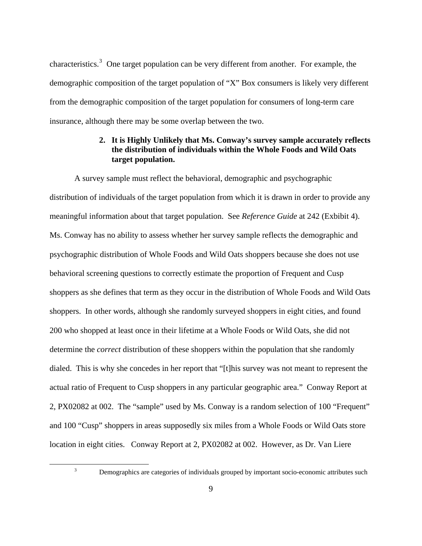characteristics.<sup>[3](#page-8-0)</sup> One target population can be very different from another. For example, the demographic composition of the target population of "X" Box consumers is likely very different from the demographic composition of the target population for consumers of long-term care insurance, although there may be some overlap between the two.

# **2. It is Highly Unlikely that Ms. Conway's survey sample accurately reflects the distribution of individuals within the Whole Foods and Wild Oats target population.**

 A survey sample must reflect the behavioral, demographic and psychographic distribution of individuals of the target population from which it is drawn in order to provide any meaningful information about that target population. See *Reference Guide* at 242 (Exbibit 4). Ms. Conway has no ability to assess whether her survey sample reflects the demographic and psychographic distribution of Whole Foods and Wild Oats shoppers because she does not use behavioral screening questions to correctly estimate the proportion of Frequent and Cusp shoppers as she defines that term as they occur in the distribution of Whole Foods and Wild Oats shoppers. In other words, although she randomly surveyed shoppers in eight cities, and found 200 who shopped at least once in their lifetime at a Whole Foods or Wild Oats, she did not determine the *correct* distribution of these shoppers within the population that she randomly dialed. This is why she concedes in her report that "[t]his survey was not meant to represent the actual ratio of Frequent to Cusp shoppers in any particular geographic area." Conway Report at 2, PX02082 at 002. The "sample" used by Ms. Conway is a random selection of 100 "Frequent" and 100 "Cusp" shoppers in areas supposedly six miles from a Whole Foods or Wild Oats store location in eight cities. Conway Report at 2, PX02082 at 002. However, as Dr. Van Liere

3

<span id="page-8-0"></span> $\overline{a}$ 

Demographics are categories of individuals grouped by important socio-economic attributes such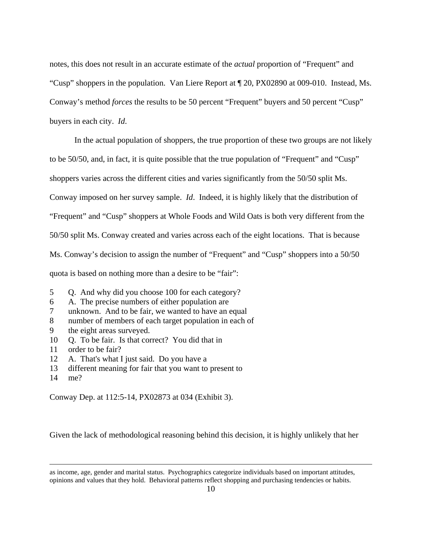notes, this does not result in an accurate estimate of the *actual* proportion of "Frequent" and "Cusp" shoppers in the population. Van Liere Report at ¶ 20, PX02890 at 009-010. Instead, Ms. Conway's method *forces* the results to be 50 percent "Frequent" buyers and 50 percent "Cusp" buyers in each city. *Id*.

 In the actual population of shoppers, the true proportion of these two groups are not likely to be 50/50, and, in fact, it is quite possible that the true population of "Frequent" and "Cusp" shoppers varies across the different cities and varies significantly from the 50/50 split Ms. Conway imposed on her survey sample. *Id*. Indeed, it is highly likely that the distribution of "Frequent" and "Cusp" shoppers at Whole Foods and Wild Oats is both very different from the 50/50 split Ms. Conway created and varies across each of the eight locations. That is because Ms. Conway's decision to assign the number of "Frequent" and "Cusp" shoppers into a 50/50 quota is based on nothing more than a desire to be "fair":

- 5 Q. And why did you choose 100 for each category?
- 6 A. The precise numbers of either population are
- 7 unknown. And to be fair, we wanted to have an equal
- 8 number of members of each target population in each of
- 9 the eight areas surveyed.
- 10 Q. To be fair. Is that correct? You did that in
- 11 order to be fair?
- 12 A. That's what I just said. Do you have a
- 13 different meaning for fair that you want to present to
- 14 me?

 $\overline{a}$ 

Conway Dep. at 112:5-14, PX02873 at 034 (Exhibit 3).

Given the lack of methodological reasoning behind this decision, it is highly unlikely that her

as income, age, gender and marital status. Psychographics categorize individuals based on important attitudes, opinions and values that they hold. Behavioral patterns reflect shopping and purchasing tendencies or habits.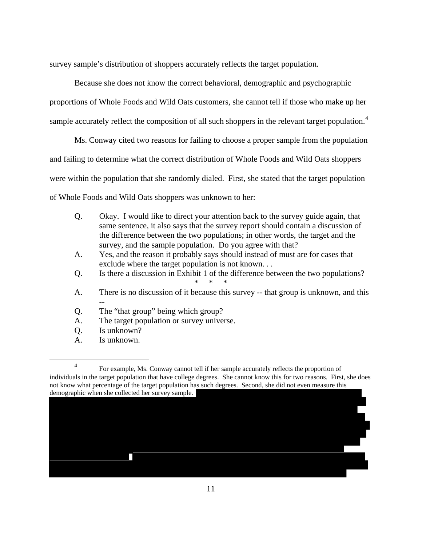survey sample's distribution of shoppers accurately reflects the target population.

 Because she does not know the correct behavioral, demographic and psychographic proportions of Whole Foods and Wild Oats customers, she cannot tell if those who make up her sample accurately reflect the composition of all such shoppers in the relevant target population.<sup>[4](#page-10-0)</sup>

 Ms. Conway cited two reasons for failing to choose a proper sample from the population and failing to determine what the correct distribution of Whole Foods and Wild Oats shoppers were within the population that she randomly dialed. First, she stated that the target population of Whole Foods and Wild Oats shoppers was unknown to her:

- Q. Okay. I would like to direct your attention back to the survey guide again, that same sentence, it also says that the survey report should contain a discussion of the difference between the two populations; in other words, the target and the survey, and the sample population. Do you agree with that?
- A. Yes, and the reason it probably says should instead of must are for cases that exclude where the target population is not known. . .
- Q. Is there a discussion in Exhibit 1 of the difference between the two populations? \* \* \*
- A. There is no discussion of it because this survey -- that group is unknown, and this
- -- Q. The "that group" being which group?
- A. The target population or survey universe.
- Q. Is unknown?
- A. Is unknown.

 $\overline{a}$ 

<span id="page-10-0"></span><sup>4</sup> For example, Ms. Conway cannot tell if her sample accurately reflects the proportion of individuals in the target population that have college degrees. She cannot know this for two reasons. First, she does not know what percentage of the target population has such degrees. Second, she did not even measure this demographic when she collected her survey sample.

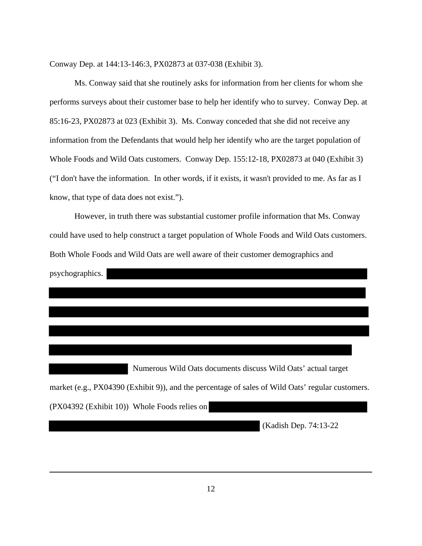Conway Dep. at 144:13-146:3, PX02873 at 037-038 (Exhibit 3).

 Ms. Conway said that she routinely asks for information from her clients for whom she performs surveys about their customer base to help her identify who to survey. Conway Dep. at 85:16-23, PX02873 at 023 (Exhibit 3).Ms. Conway conceded that she did not receive any information from the Defendants that would help her identify who are the target population of Whole Foods and Wild Oats customers. Conway Dep. 155:12-18, PX02873 at 040 (Exhibit 3) ("I don't have the information. In other words, if it exists, it wasn't provided to me. As far as I know, that type of data does not exist.").

 However, in truth there was substantial customer profile information that Ms. Conway could have used to help construct a target population of Whole Foods and Wild Oats customers. Both Whole Foods and Wild Oats are well aware of their customer demographics and psychographics.

 Numerous Wild Oats documents discuss Wild Oats' actual target market (e.g., PX04390 (Exhibit 9)), and the percentage of sales of Wild Oats' regular customers. (PX04392 (Exhibit 10)) Whole Foods relies on

(Kadish Dep. 74:13-22

 $\overline{a}$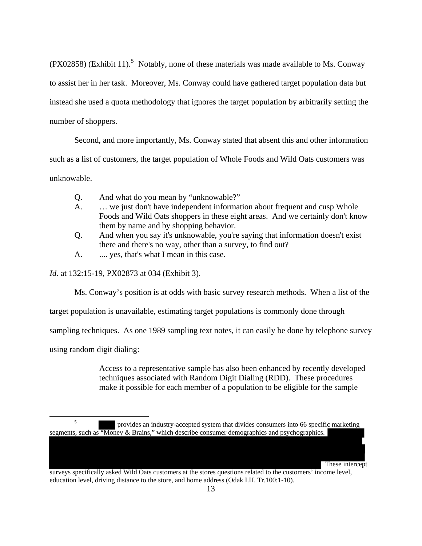(PX028[5](#page-12-0)8) (Exhibit 11).<sup>5</sup> Notably, none of these materials was made available to Ms. Conway to assist her in her task. Moreover, Ms. Conway could have gathered target population data but instead she used a quota methodology that ignores the target population by arbitrarily setting the number of shoppers.

 Second, and more importantly, Ms. Conway stated that absent this and other information such as a list of customers, the target population of Whole Foods and Wild Oats customers was unknowable.

- Q. And what do you mean by "unknowable?"
- A. … we just don't have independent information about frequent and cusp Whole Foods and Wild Oats shoppers in these eight areas. And we certainly don't know them by name and by shopping behavior.
- Q. And when you say it's unknowable, you're saying that information doesn't exist there and there's no way, other than a survey, to find out?
- A. .... yes, that's what I mean in this case.

*Id*. at 132:15-19, PX02873 at 034 (Exhibit 3).

Ms. Conway's position is at odds with basic survey research methods. When a list of the

target population is unavailable, estimating target populations is commonly done through

sampling techniques. As one 1989 sampling text notes, it can easily be done by telephone survey

using random digit dialing:

Access to a representative sample has also been enhanced by recently developed techniques associated with Random Digit Dialing (RDD). These procedures make it possible for each member of a population to be eligible for the sample

These intercept

surveys specifically asked Wild Oats customers at the stores questions related to the customers' income level, education level, driving distance to the store, and home address (Odak I.H. Tr.100:1-10).

<span id="page-12-0"></span> $\overline{a}$ 5 provides an industry-accepted system that divides consumers into 66 specific marketing segments, such as "Money & Brains," which describe consumer demographics and psychographics.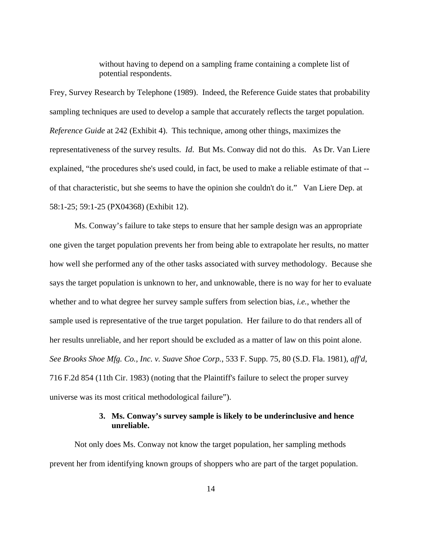without having to depend on a sampling frame containing a complete list of potential respondents.

Frey, Survey Research by Telephone (1989). Indeed, the Reference Guide states that probability sampling techniques are used to develop a sample that accurately reflects the target population. *Reference Guide* at 242 (Exhibit 4). This technique, among other things, maximizes the representativeness of the survey results. *Id*. But Ms. Conway did not do this. As Dr. Van Liere explained, "the procedures she's used could, in fact, be used to make a reliable estimate of that - of that characteristic, but she seems to have the opinion she couldn't do it." Van Liere Dep. at 58:1-25; 59:1-25 (PX04368) (Exhibit 12).

 Ms. Conway's failure to take steps to ensure that her sample design was an appropriate one given the target population prevents her from being able to extrapolate her results, no matter how well she performed any of the other tasks associated with survey methodology. Because she says the target population is unknown to her, and unknowable, there is no way for her to evaluate whether and to what degree her survey sample suffers from selection bias, *i.e.*, whether the sample used is representative of the true target population. Her failure to do that renders all of her results unreliable, and her report should be excluded as a matter of law on this point alone. *See Brooks Shoe Mfg. Co., Inc. v. Suave Shoe Corp.*, 533 F. Supp. 75, 80 (S.D. Fla. 1981), *aff'd*, 716 F.2d 854 (11th Cir. 1983) (noting that the Plaintiff's failure to select the proper survey universe was its most critical methodological failure").

### **3. Ms. Conway's survey sample is likely to be underinclusive and hence unreliable.**

Not only does Ms. Conway not know the target population, her sampling methods prevent her from identifying known groups of shoppers who are part of the target population.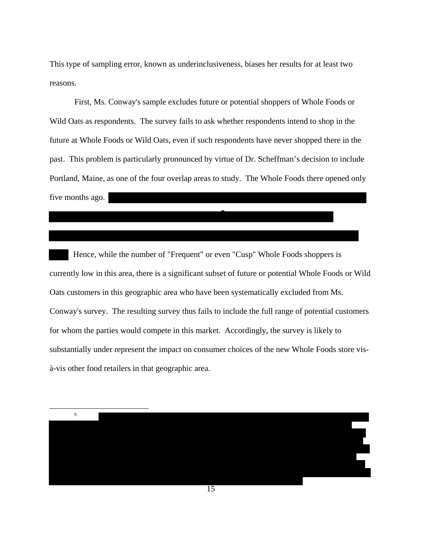This type of sampling error, known as underinclusiveness, biases her results for at least two reasons.

First, Ms. Conway's sample excludes future or potential shoppers of Whole Foods or Wild Oats as respondents. The survey fails to ask whether respondents intend to shop in the future at Whole Foods or Wild Oats, even if such respondents have never shopped there in the past. This problem is particularly pronounced by virtue of Dr. Scheffman's decision to include Portland, Maine, as one of the four overlap areas to study. The Whole Foods there opened only five months ago.

 Hence, while the number of "Frequent" or even "Cusp" Whole Foods shoppers is currently low in this area, there is a significant subset of future or potential Whole Foods or Wild Oats customers in this geographic area who have been systematically excluded from Ms. Conway's survey. The resulting survey thus fails to include the full range of potential customers for whom the parties would compete in this market. Accordingly, the survey is likely to substantially under represent the impact on consumer choices of the new Whole Foods store visà-vis other food retailers in that geographic area.

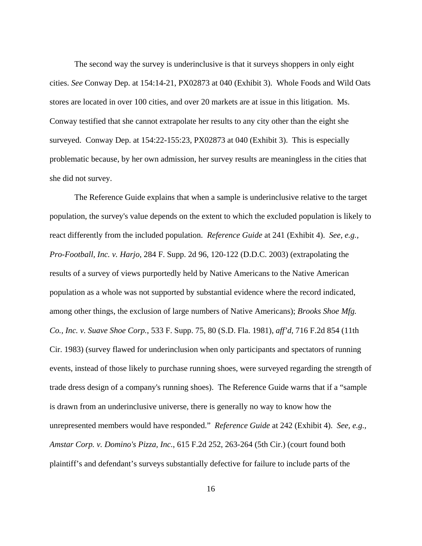The second way the survey is underinclusive is that it surveys shoppers in only eight cities. *See* Conway Dep. at 154:14-21, PX02873 at 040 (Exhibit 3). Whole Foods and Wild Oats stores are located in over 100 cities, and over 20 markets are at issue in this litigation. Ms. Conway testified that she cannot extrapolate her results to any city other than the eight she surveyed. Conway Dep. at 154:22-155:23, PX02873 at 040 (Exhibit 3). This is especially problematic because, by her own admission, her survey results are meaningless in the cities that she did not survey.

The Reference Guide explains that when a sample is underinclusive relative to the target population, the survey's value depends on the extent to which the excluded population is likely to react differently from the included population. *Reference Guide* at 241 (Exhibit 4). *See, e.g., Pro-Football, Inc. v. Harjo*, 284 F. Supp. 2d 96, 120-122 (D.D.C. 2003) (extrapolating the results of a survey of views purportedly held by Native Americans to the Native American population as a whole was not supported by substantial evidence where the record indicated, among other things, the exclusion of large numbers of Native Americans); *Brooks Shoe Mfg. Co., Inc. v. Suave Shoe Corp.*, 533 F. Supp. 75, 80 (S.D. Fla. 1981), *aff'd*, 716 F.2d 854 (11th Cir. 1983) (survey flawed for underinclusion when only participants and spectators of running events, instead of those likely to purchase running shoes, were surveyed regarding the strength of trade dress design of a company's running shoes). The Reference Guide warns that if a "sample is drawn from an underinclusive universe, there is generally no way to know how the unrepresented members would have responded." *Reference Guide* at 242 (Exhibit 4). *See, e.g., Amstar Corp. v. Domino's Pizza, Inc.*, 615 F.2d 252, 263-264 (5th Cir.) (court found both plaintiff's and defendant's surveys substantially defective for failure to include parts of the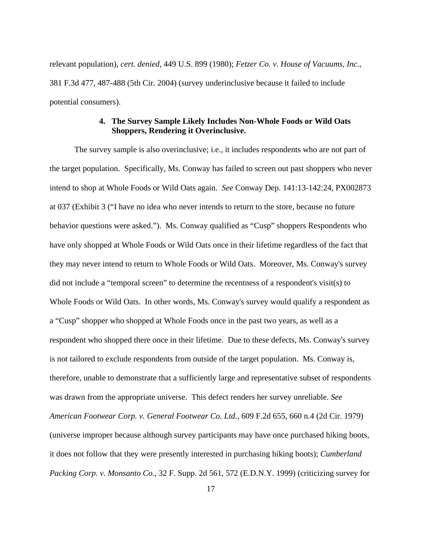relevant population), *cert. denied*, 449 U.S. 899 (1980); *Fetzer Co. v. House of Vacuums, Inc.*, 381 F.3d 477, 487-488 (5th Cir. 2004) (survey underinclusive because it failed to include potential consumers).

# **4. The Survey Sample Likely Includes Non-Whole Foods or Wild Oats Shoppers, Rendering it Overinclusive.**

 The survey sample is also overinclusive; i.e., it includes respondents who are not part of the target population. Specifically, Ms. Conway has failed to screen out past shoppers who never intend to shop at Whole Foods or Wild Oats again. *See* Conway Dep. 141:13-142:24, PX002873 at 037 (Exhibit 3 ("I have no idea who never intends to return to the store, because no future behavior questions were asked."). Ms. Conway qualified as "Cusp" shoppers Respondents who have only shopped at Whole Foods or Wild Oats once in their lifetime regardless of the fact that they may never intend to return to Whole Foods or Wild Oats. Moreover, Ms. Conway's survey did not include a "temporal screen" to determine the recentness of a respondent's visit(s) to Whole Foods or Wild Oats. In other words, Ms. Conway's survey would qualify a respondent as a "Cusp" shopper who shopped at Whole Foods once in the past two years, as well as a respondent who shopped there once in their lifetime. Due to these defects, Ms. Conway's survey is not tailored to exclude respondents from outside of the target population. Ms. Conway is, therefore, unable to demonstrate that a sufficiently large and representative subset of respondents was drawn from the appropriate universe. This defect renders her survey unreliable. *See American Footwear Corp. v. General Footwear Co. Ltd.*, 609 F.2d 655, 660 n.4 (2d Cir. 1979) (universe improper because although survey participants may have once purchased hiking boots, it does not follow that they were presently interested in purchasing hiking boots); *Cumberland Packing Corp. v. Monsanto Co.,* 32 F. Supp. 2d 561, 572 (E.D.N.Y. 1999) (criticizing survey for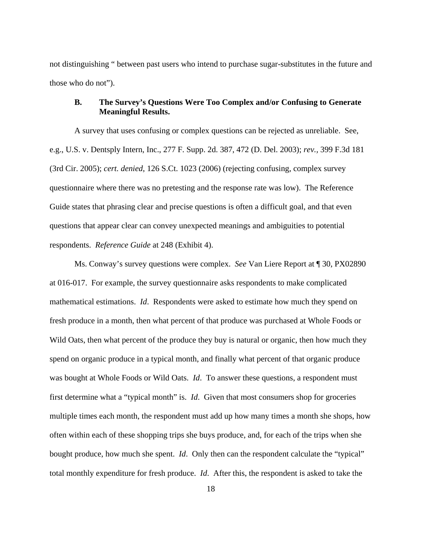not distinguishing " between past users who intend to purchase sugar-substitutes in the future and those who do not").

## **B. The Survey's Questions Were Too Complex and/or Confusing to Generate Meaningful Results.**

A survey that uses confusing or complex questions can be rejected as unreliable. See, e.g., U.S. v. Dentsply Intern, Inc., 277 F. Supp. 2d. 387, 472 (D. Del. 2003); *rev.,* 399 F.3d 181 (3rd Cir. 2005); *cert. denied*, 126 S.Ct. 1023 (2006) (rejecting confusing, complex survey questionnaire where there was no pretesting and the response rate was low). The Reference Guide states that phrasing clear and precise questions is often a difficult goal, and that even questions that appear clear can convey unexpected meanings and ambiguities to potential respondents. *Reference Guide* at 248 (Exhibit 4).

Ms. Conway's survey questions were complex. *See* Van Liere Report at ¶ 30, PX02890 at 016-017. For example, the survey questionnaire asks respondents to make complicated mathematical estimations. *Id*. Respondents were asked to estimate how much they spend on fresh produce in a month, then what percent of that produce was purchased at Whole Foods or Wild Oats, then what percent of the produce they buy is natural or organic, then how much they spend on organic produce in a typical month, and finally what percent of that organic produce was bought at Whole Foods or Wild Oats. *Id*.To answer these questions, a respondent must first determine what a "typical month" is. *Id*. Given that most consumers shop for groceries multiple times each month, the respondent must add up how many times a month she shops, how often within each of these shopping trips she buys produce, and, for each of the trips when she bought produce, how much she spent. *Id*. Only then can the respondent calculate the "typical" total monthly expenditure for fresh produce. *Id*. After this, the respondent is asked to take the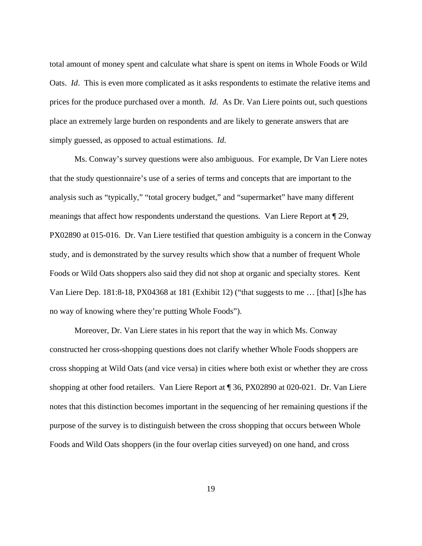total amount of money spent and calculate what share is spent on items in Whole Foods or Wild Oats. *Id.* This is even more complicated as it asks respondents to estimate the relative items and prices for the produce purchased over a month. *Id.* As Dr. Van Liere points out, such questions place an extremely large burden on respondents and are likely to generate answers that are simply guessed, as opposed to actual estimations. *Id*.

Ms. Conway's survey questions were also ambiguous. For example, Dr Van Liere notes that the study questionnaire's use of a series of terms and concepts that are important to the analysis such as "typically," "total grocery budget," and "supermarket" have many different meanings that affect how respondents understand the questions. Van Liere Report at ¶ 29, PX02890 at 015-016. Dr. Van Liere testified that question ambiguity is a concern in the Conway study, and is demonstrated by the survey results which show that a number of frequent Whole Foods or Wild Oats shoppers also said they did not shop at organic and specialty stores. Kent Van Liere Dep. 181:8-18, PX04368 at 181 (Exhibit 12) ("that suggests to me … [that] [s]he has no way of knowing where they're putting Whole Foods").

Moreover, Dr. Van Liere states in his report that the way in which Ms. Conway constructed her cross-shopping questions does not clarify whether Whole Foods shoppers are cross shopping at Wild Oats (and vice versa) in cities where both exist or whether they are cross shopping at other food retailers. Van Liere Report at ¶ 36, PX02890 at 020-021. Dr. Van Liere notes that this distinction becomes important in the sequencing of her remaining questions if the purpose of the survey is to distinguish between the cross shopping that occurs between Whole Foods and Wild Oats shoppers (in the four overlap cities surveyed) on one hand, and cross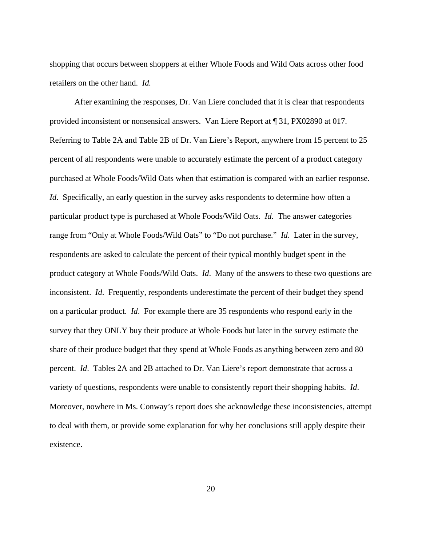shopping that occurs between shoppers at either Whole Foods and Wild Oats across other food retailers on the other hand. *Id.*

 After examining the responses, Dr. Van Liere concluded that it is clear that respondents provided inconsistent or nonsensical answers. Van Liere Report at ¶ 31, PX02890 at 017. Referring to Table 2A and Table 2B of Dr. Van Liere's Report, anywhere from 15 percent to 25 percent of all respondents were unable to accurately estimate the percent of a product category purchased at Whole Foods/Wild Oats when that estimation is compared with an earlier response. *Id.* Specifically, an early question in the survey asks respondents to determine how often a particular product type is purchased at Whole Foods/Wild Oats. *Id*. The answer categories range from "Only at Whole Foods/Wild Oats" to "Do not purchase." *Id*.Later in the survey, respondents are asked to calculate the percent of their typical monthly budget spent in the product category at Whole Foods/Wild Oats. *Id*.Many of the answers to these two questions are inconsistent. *Id.* Frequently, respondents underestimate the percent of their budget they spend on a particular product. *Id*.For example there are 35 respondents who respond early in the survey that they ONLY buy their produce at Whole Foods but later in the survey estimate the share of their produce budget that they spend at Whole Foods as anything between zero and 80 percent. *Id*.Tables 2A and 2B attached to Dr. Van Liere's report demonstrate that across a variety of questions, respondents were unable to consistently report their shopping habits. *Id*. Moreover, nowhere in Ms. Conway's report does she acknowledge these inconsistencies, attempt to deal with them, or provide some explanation for why her conclusions still apply despite their existence.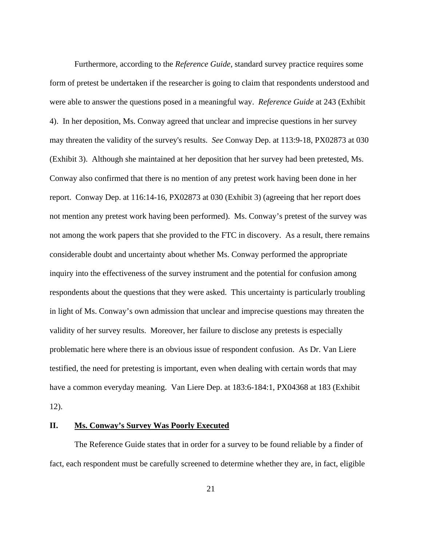Furthermore, according to the *Reference Guide*, standard survey practice requires some form of pretest be undertaken if the researcher is going to claim that respondents understood and were able to answer the questions posed in a meaningful way. *Reference Guide* at 243 (Exhibit 4). In her deposition, Ms. Conway agreed that unclear and imprecise questions in her survey may threaten the validity of the survey's results. *See* Conway Dep. at 113:9-18, PX02873 at 030 (Exhibit 3). Although she maintained at her deposition that her survey had been pretested, Ms. Conway also confirmed that there is no mention of any pretest work having been done in her report. Conway Dep. at 116:14-16, PX02873 at 030 (Exhibit 3) (agreeing that her report does not mention any pretest work having been performed). Ms. Conway's pretest of the survey was not among the work papers that she provided to the FTC in discovery. As a result, there remains considerable doubt and uncertainty about whether Ms. Conway performed the appropriate inquiry into the effectiveness of the survey instrument and the potential for confusion among respondents about the questions that they were asked. This uncertainty is particularly troubling in light of Ms. Conway's own admission that unclear and imprecise questions may threaten the validity of her survey results. Moreover, her failure to disclose any pretests is especially problematic here where there is an obvious issue of respondent confusion. As Dr. Van Liere testified, the need for pretesting is important, even when dealing with certain words that may have a common everyday meaning. Van Liere Dep. at 183:6-184:1, PX04368 at 183 (Exhibit 12).

# **II. Ms. Conway's Survey Was Poorly Executed**

 The Reference Guide states that in order for a survey to be found reliable by a finder of fact, each respondent must be carefully screened to determine whether they are, in fact, eligible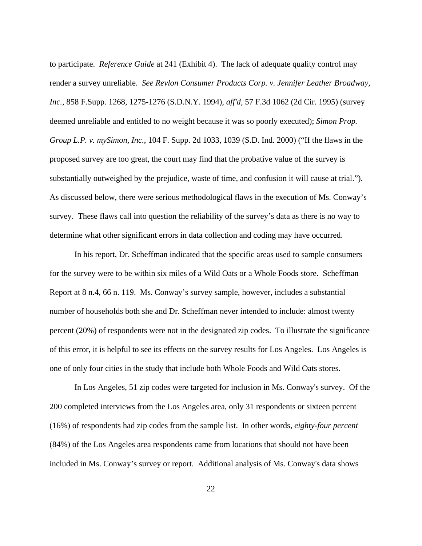to participate. *Reference Guide* at 241 (Exhibit 4). The lack of adequate quality control may render a survey unreliable. *See Revlon Consumer Products Corp. v. Jennifer Leather Broadway, Inc.*, 858 F.Supp. 1268, 1275-1276 (S.D.N.Y. 1994), *aff'd,* 57 F.3d 1062 (2d Cir. 1995) (survey deemed unreliable and entitled to no weight because it was so poorly executed); *Simon Prop. Group L.P. v. mySimon, Inc.*, 104 F. Supp. 2d 1033, 1039 (S.D. Ind. 2000) ("If the flaws in the proposed survey are too great, the court may find that the probative value of the survey is substantially outweighed by the prejudice, waste of time, and confusion it will cause at trial."). As discussed below, there were serious methodological flaws in the execution of Ms. Conway's survey. These flaws call into question the reliability of the survey's data as there is no way to determine what other significant errors in data collection and coding may have occurred.

 In his report, Dr. Scheffman indicated that the specific areas used to sample consumers for the survey were to be within six miles of a Wild Oats or a Whole Foods store. Scheffman Report at 8 n.4, 66 n. 119. Ms. Conway's survey sample, however, includes a substantial number of households both she and Dr. Scheffman never intended to include: almost twenty percent (20%) of respondents were not in the designated zip codes. To illustrate the significance of this error, it is helpful to see its effects on the survey results for Los Angeles. Los Angeles is one of only four cities in the study that include both Whole Foods and Wild Oats stores.

 In Los Angeles, 51 zip codes were targeted for inclusion in Ms. Conway's survey. Of the 200 completed interviews from the Los Angeles area, only 31 respondents or sixteen percent (16%) of respondents had zip codes from the sample list. In other words, *eighty-four percent* (84%) of the Los Angeles area respondents came from locations that should not have been included in Ms. Conway's survey or report. Additional analysis of Ms. Conway's data shows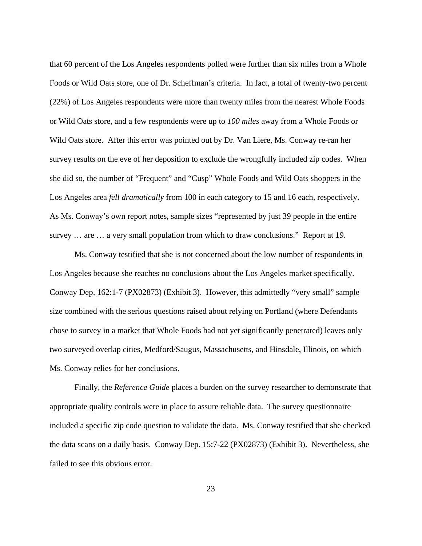that 60 percent of the Los Angeles respondents polled were further than six miles from a Whole Foods or Wild Oats store, one of Dr. Scheffman's criteria. In fact, a total of twenty-two percent (22%) of Los Angeles respondents were more than twenty miles from the nearest Whole Foods or Wild Oats store, and a few respondents were up to *100 miles* away from a Whole Foods or Wild Oats store. After this error was pointed out by Dr. Van Liere, Ms. Conway re-ran her survey results on the eve of her deposition to exclude the wrongfully included zip codes. When she did so, the number of "Frequent" and "Cusp" Whole Foods and Wild Oats shoppers in the Los Angeles area *fell dramatically* from 100 in each category to 15 and 16 each, respectively. As Ms. Conway's own report notes, sample sizes "represented by just 39 people in the entire survey … are … a very small population from which to draw conclusions." Report at 19.

 Ms. Conway testified that she is not concerned about the low number of respondents in Los Angeles because she reaches no conclusions about the Los Angeles market specifically. Conway Dep. 162:1-7 (PX02873) (Exhibit 3). However, this admittedly "very small" sample size combined with the serious questions raised about relying on Portland (where Defendants chose to survey in a market that Whole Foods had not yet significantly penetrated) leaves only two surveyed overlap cities, Medford/Saugus, Massachusetts, and Hinsdale, Illinois, on which Ms. Conway relies for her conclusions.

 Finally, the *Reference Guide* places a burden on the survey researcher to demonstrate that appropriate quality controls were in place to assure reliable data. The survey questionnaire included a specific zip code question to validate the data. Ms. Conway testified that she checked the data scans on a daily basis. Conway Dep. 15:7-22 (PX02873) (Exhibit 3). Nevertheless, she failed to see this obvious error.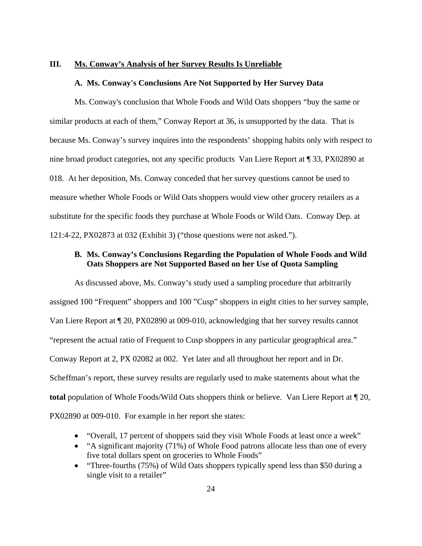#### **III. Ms. Conway's Analysis of her Survey Results Is Unreliable**

#### **A. Ms. Conway's Conclusions Are Not Supported by Her Survey Data**

 Ms. Conway's conclusion that Whole Foods and Wild Oats shoppers "buy the same or similar products at each of them," Conway Report at 36, is unsupported by the data. That is because Ms. Conway's survey inquires into the respondents' shopping habits only with respect to nine broad product categories, not any specific products Van Liere Report at ¶ 33, PX02890 at 018. At her deposition, Ms. Conway conceded that her survey questions cannot be used to measure whether Whole Foods or Wild Oats shoppers would view other grocery retailers as a substitute for the specific foods they purchase at Whole Foods or Wild Oats. Conway Dep. at 121:4-22, PX02873 at 032 (Exhibit 3) ("those questions were not asked.").

# **B. Ms. Conway's Conclusions Regarding the Population of Whole Foods and Wild Oats Shoppers are Not Supported Based on her Use of Quota Sampling**

As discussed above, Ms. Conway's study used a sampling procedure that arbitrarily assigned 100 "Frequent" shoppers and 100 "Cusp" shoppers in eight cities to her survey sample, Van Liere Report at ¶ 20, PX02890 at 009-010, acknowledging that her survey results cannot "represent the actual ratio of Frequent to Cusp shoppers in any particular geographical area." Conway Report at 2, PX 02082 at 002. Yet later and all throughout her report and in Dr. Scheffman's report, these survey results are regularly used to make statements about what the **total** population of Whole Foods/Wild Oats shoppers think or believe. Van Liere Report at ¶ 20, PX02890 at 009-010. For example in her report she states:

- "Overall, 17 percent of shoppers said they visit Whole Foods at least once a week"
- "A significant majority (71%) of Whole Food patrons allocate less than one of every five total dollars spent on groceries to Whole Foods"
- "Three-fourths (75%) of Wild Oats shoppers typically spend less than \$50 during a single visit to a retailer"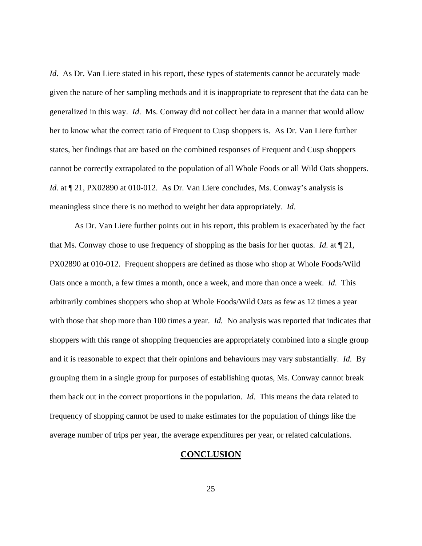*Id.* As Dr. Van Liere stated in his report, these types of statements cannot be accurately made given the nature of her sampling methods and it is inappropriate to represent that the data can be generalized in this way. *Id*.Ms. Conway did not collect her data in a manner that would allow her to know what the correct ratio of Frequent to Cusp shoppers is. As Dr. Van Liere further states, her findings that are based on the combined responses of Frequent and Cusp shoppers cannot be correctly extrapolated to the population of all Whole Foods or all Wild Oats shoppers. *Id.* at  $\P$  21, PX02890 at 010-012. As Dr. Van Liere concludes, Ms. Conway's analysis is meaningless since there is no method to weight her data appropriately. *Id*.

As Dr. Van Liere further points out in his report, this problem is exacerbated by the fact that Ms. Conway chose to use frequency of shopping as the basis for her quotas. *Id.* at ¶ 21, PX02890 at 010-012. Frequent shoppers are defined as those who shop at Whole Foods/Wild Oats once a month, a few times a month, once a week, and more than once a week. *Id.* This arbitrarily combines shoppers who shop at Whole Foods/Wild Oats as few as 12 times a year with those that shop more than 100 times a year. *Id.* No analysis was reported that indicates that shoppers with this range of shopping frequencies are appropriately combined into a single group and it is reasonable to expect that their opinions and behaviours may vary substantially. *Id.* By grouping them in a single group for purposes of establishing quotas, Ms. Conway cannot break them back out in the correct proportions in the population. *Id.* This means the data related to frequency of shopping cannot be used to make estimates for the population of things like the average number of trips per year, the average expenditures per year, or related calculations.

## **CONCLUSION**